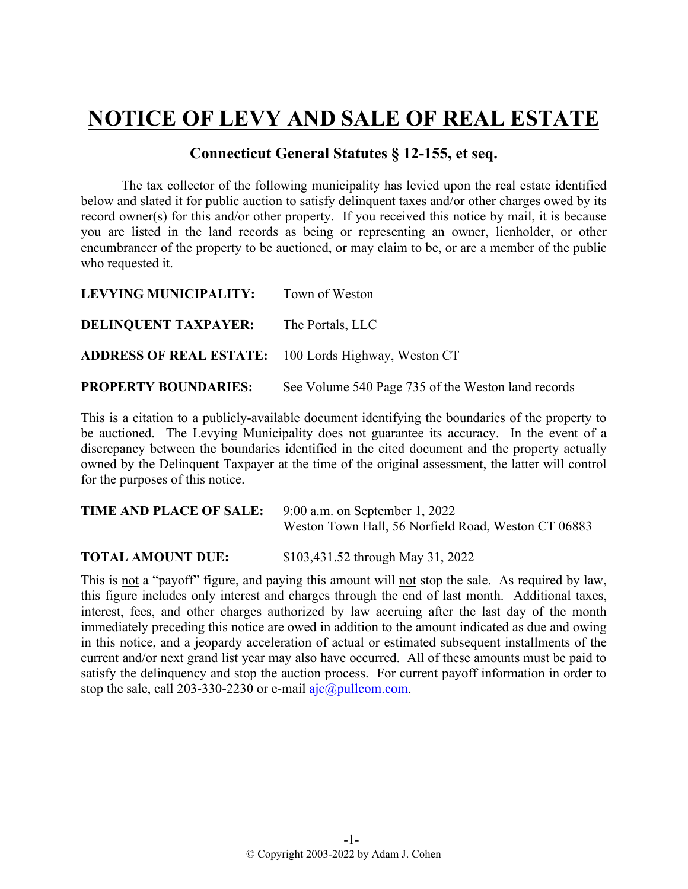## **NOTICE OF LEVY AND SALE OF REAL ESTATE**

## **Connecticut General Statutes § 12-155, et seq.**

The tax collector of the following municipality has levied upon the real estate identified below and slated it for public auction to satisfy delinquent taxes and/or other charges owed by its record owner(s) for this and/or other property. If you received this notice by mail, it is because you are listed in the land records as being or representing an owner, lienholder, or other encumbrancer of the property to be auctioned, or may claim to be, or are a member of the public who requested it.

| LEVYING MUNICIPALITY:                                       | Town of Weston                                     |
|-------------------------------------------------------------|----------------------------------------------------|
| <b>DELINQUENT TAXPAYER:</b> The Portals, LLC                |                                                    |
| <b>ADDRESS OF REAL ESTATE:</b> 100 Lords Highway, Weston CT |                                                    |
| <b>PROPERTY BOUNDARIES:</b>                                 | See Volume 540 Page 735 of the Weston land records |

This is a citation to a publicly-available document identifying the boundaries of the property to be auctioned. The Levying Municipality does not guarantee its accuracy. In the event of a discrepancy between the boundaries identified in the cited document and the property actually owned by the Delinquent Taxpayer at the time of the original assessment, the latter will control for the purposes of this notice.

| <b>TIME AND PLACE OF SALE:</b> 9:00 a.m. on September 1, 2022 |                                                     |
|---------------------------------------------------------------|-----------------------------------------------------|
|                                                               | Weston Town Hall, 56 Norfield Road, Weston CT 06883 |

**TOTAL AMOUNT DUE:** \$103,431.52 through May 31, 2022

This is not a "payoff" figure, and paying this amount will not stop the sale. As required by law, this figure includes only interest and charges through the end of last month. Additional taxes, interest, fees, and other charges authorized by law accruing after the last day of the month immediately preceding this notice are owed in addition to the amount indicated as due and owing in this notice, and a jeopardy acceleration of actual or estimated subsequent installments of the current and/or next grand list year may also have occurred. All of these amounts must be paid to satisfy the delinquency and stop the auction process. For current payoff information in order to stop the sale, call 203-330-2230 or e-mail  $a$ jc $@p$ ullcom.com.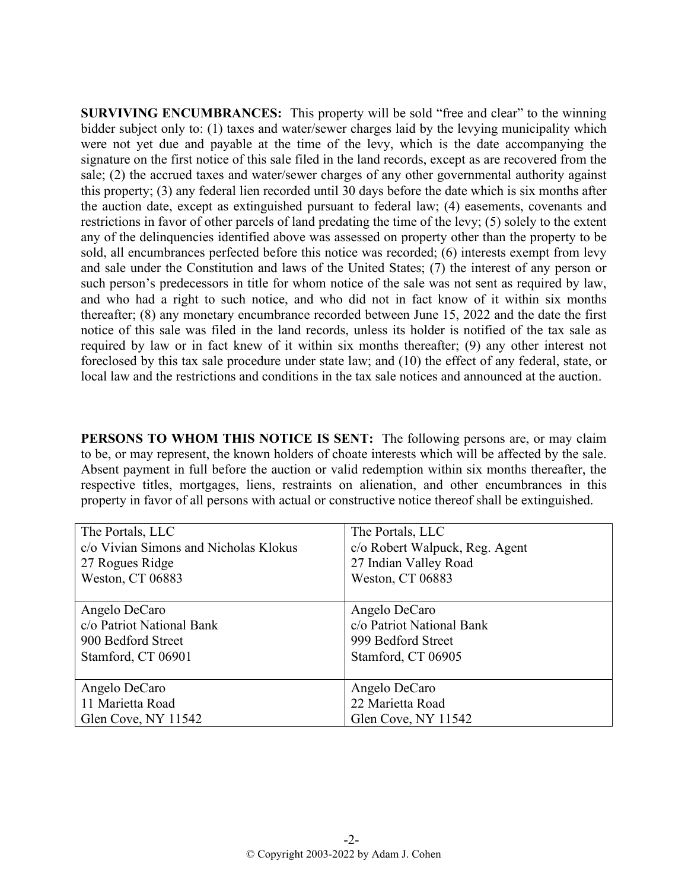**SURVIVING ENCUMBRANCES:** This property will be sold "free and clear" to the winning bidder subject only to: (1) taxes and water/sewer charges laid by the levying municipality which were not yet due and payable at the time of the levy, which is the date accompanying the signature on the first notice of this sale filed in the land records, except as are recovered from the sale; (2) the accrued taxes and water/sewer charges of any other governmental authority against this property; (3) any federal lien recorded until 30 days before the date which is six months after the auction date, except as extinguished pursuant to federal law; (4) easements, covenants and restrictions in favor of other parcels of land predating the time of the levy; (5) solely to the extent any of the delinquencies identified above was assessed on property other than the property to be sold, all encumbrances perfected before this notice was recorded; (6) interests exempt from levy and sale under the Constitution and laws of the United States; (7) the interest of any person or such person's predecessors in title for whom notice of the sale was not sent as required by law, and who had a right to such notice, and who did not in fact know of it within six months thereafter; (8) any monetary encumbrance recorded between June 15, 2022 and the date the first notice of this sale was filed in the land records, unless its holder is notified of the tax sale as required by law or in fact knew of it within six months thereafter; (9) any other interest not foreclosed by this tax sale procedure under state law; and (10) the effect of any federal, state, or local law and the restrictions and conditions in the tax sale notices and announced at the auction.

**PERSONS TO WHOM THIS NOTICE IS SENT:** The following persons are, or may claim to be, or may represent, the known holders of choate interests which will be affected by the sale. Absent payment in full before the auction or valid redemption within six months thereafter, the respective titles, mortgages, liens, restraints on alienation, and other encumbrances in this property in favor of all persons with actual or constructive notice thereof shall be extinguished.

| The Portals, LLC                      | The Portals, LLC               |
|---------------------------------------|--------------------------------|
| c/o Vivian Simons and Nicholas Klokus | c/o Robert Walpuck, Reg. Agent |
| 27 Rogues Ridge                       | 27 Indian Valley Road          |
| Weston, CT 06883                      | Weston, CT 06883               |
|                                       |                                |
| Angelo DeCaro                         | Angelo DeCaro                  |
| c/o Patriot National Bank             | c/o Patriot National Bank      |
| 900 Bedford Street                    | 999 Bedford Street             |
| Stamford, CT 06901                    | Stamford, CT 06905             |
|                                       |                                |
| Angelo DeCaro                         | Angelo DeCaro                  |
| 11 Marietta Road                      | 22 Marietta Road               |
| Glen Cove, NY 11542                   | Glen Cove, NY 11542            |